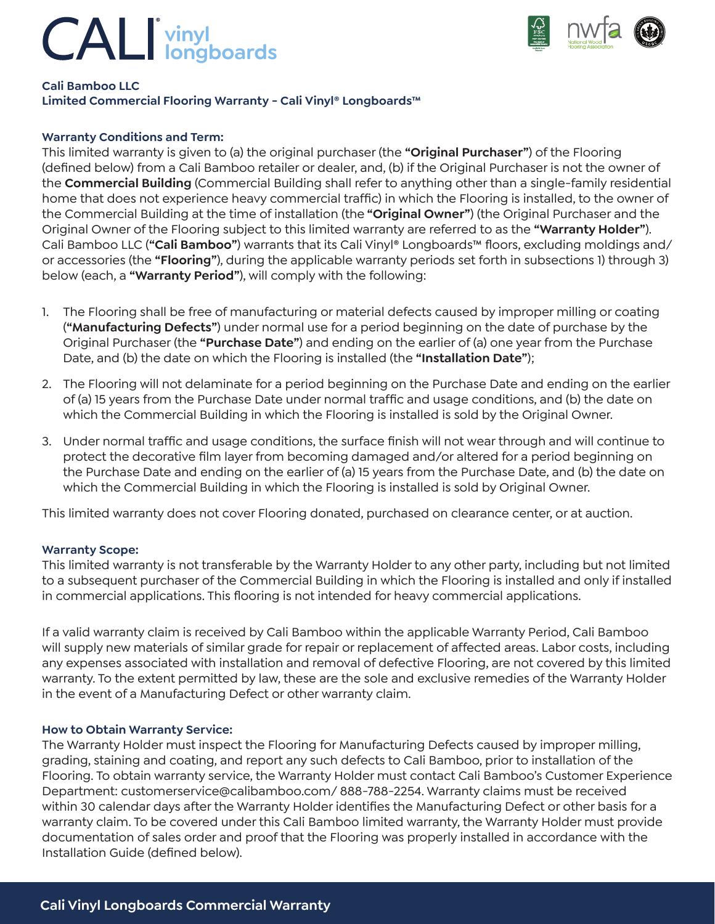# **vinyl longboards**



### **Cali Bamboo LLC**

## **Limited Commercial Flooring Warranty - Cali Vinyl® Longboards™**

### **Warranty Conditions and Term:**

This limited warranty is given to (a) the original purchaser (the **"Original Purchaser"**) of the Flooring (defined below) from a Cali Bamboo retailer or dealer, and, (b) if the Original Purchaser is not the owner of the **Commercial Building** (Commercial Building shall refer to anything other than a single-family residential home that does not experience heavy commercial traffic) in which the Flooring is installed, to the owner of the Commercial Building at the time of installation (the **"Original Owner"**) (the Original Purchaser and the Original Owner of the Flooring subject to this limited warranty are referred to as the **"Warranty Holder"**). Cali Bamboo LLC (**"Cali Bamboo"**) warrants that its Cali Vinyl® Longboards™ floors, excluding moldings and/ or accessories (the **"Flooring"**), during the applicable warranty periods set forth in subsections 1) through 3) below (each, a **"Warranty Period"**), will comply with the following:

- 1. The Flooring shall be free of manufacturing or material defects caused by improper milling or coating (**"Manufacturing Defects"**) under normal use for a period beginning on the date of purchase by the Original Purchaser (the **"Purchase Date"**) and ending on the earlier of (a) one year from the Purchase Date, and (b) the date on which the Flooring is installed (the **"Installation Date"**);
- 2. The Flooring will not delaminate for a period beginning on the Purchase Date and ending on the earlier of (a) 15 years from the Purchase Date under normal traffic and usage conditions, and (b) the date on which the Commercial Building in which the Flooring is installed is sold by the Original Owner.
- 3. Under normal traffic and usage conditions, the surface finish will not wear through and will continue to protect the decorative film layer from becoming damaged and/or altered for a period beginning on the Purchase Date and ending on the earlier of (a) 15 years from the Purchase Date, and (b) the date on which the Commercial Building in which the Flooring is installed is sold by Original Owner.

This limited warranty does not cover Flooring donated, purchased on clearance center, or at auction.

#### **Warranty Scope:**

This limited warranty is not transferable by the Warranty Holder to any other party, including but not limited to a subsequent purchaser of the Commercial Building in which the Flooring is installed and only if installed in commercial applications. This flooring is not intended for heavy commercial applications.

If a valid warranty claim is received by Cali Bamboo within the applicable Warranty Period, Cali Bamboo will supply new materials of similar grade for repair or replacement of affected areas. Labor costs, including any expenses associated with installation and removal of defective Flooring, are not covered by this limited warranty. To the extent permitted by law, these are the sole and exclusive remedies of the Warranty Holder in the event of a Manufacturing Defect or other warranty claim.

#### **How to Obtain Warranty Service:**

The Warranty Holder must inspect the Flooring for Manufacturing Defects caused by improper milling, grading, staining and coating, and report any such defects to Cali Bamboo, prior to installation of the Flooring. To obtain warranty service, the Warranty Holder must contact Cali Bamboo's Customer Experience Department: customerservice@calibamboo.com/ 888-788-2254. Warranty claims must be received within 30 calendar days after the Warranty Holder identifies the Manufacturing Defect or other basis for a warranty claim. To be covered under this Cali Bamboo limited warranty, the Warranty Holder must provide documentation of sales order and proof that the Flooring was properly installed in accordance with the Installation Guide (defined below).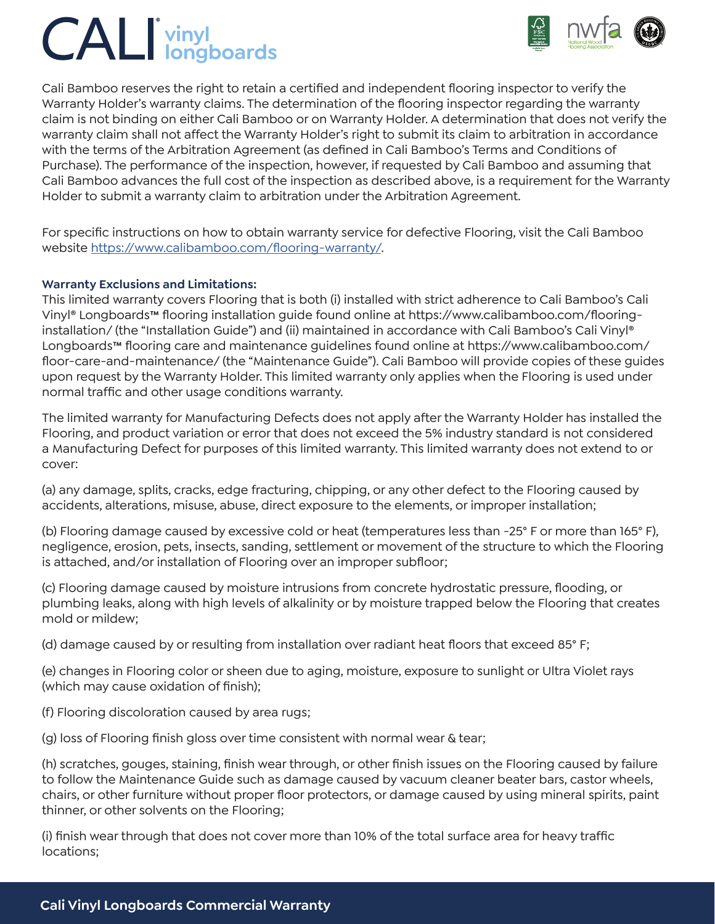# **vinyl longboards**



Cali Bamboo reserves the right to retain a certified and independent flooring inspector to verify the Warranty Holder's warranty claims. The determination of the flooring inspector regarding the warranty claim is not binding on either Cali Bamboo or on Warranty Holder. A determination that does not verify the warranty claim shall not affect the Warranty Holder's right to submit its claim to arbitration in accordance with the terms of the Arbitration Agreement (as defined in Cali Bamboo's Terms and Conditions of Purchase). The performance of the inspection, however, if requested by Cali Bamboo and assuming that Cali Bamboo advances the full cost of the inspection as described above, is a requirement for the Warranty Holder to submit a warranty claim to arbitration under the Arbitration Agreement.

For specific instructions on how to obtain warranty service for defective Flooring, visit the Cali Bamboo website https://www.calibamboo.com/flooring-warranty/.

## **Warranty Exclusions and Limitations:**

This limited warranty covers Flooring that is both (i) installed with strict adherence to Cali Bamboo's Cali Vinyl® Longboards**™** flooring installation guide found online at https://www.calibamboo.com/flooringinstallation/ (the "Installation Guide") and (ii) maintained in accordance with Cali Bamboo's Cali Vinyl® Longboards**™** flooring care and maintenance guidelines found online at https://www.calibamboo.com/ floor-care-and-maintenance/ (the "Maintenance Guide"). Cali Bamboo will provide copies of these guides upon request by the Warranty Holder. This limited warranty only applies when the Flooring is used under normal traffic and other usage conditions warranty.

The limited warranty for Manufacturing Defects does not apply after the Warranty Holder has installed the Flooring, and product variation or error that does not exceed the 5% industry standard is not considered a Manufacturing Defect for purposes of this limited warranty. This limited warranty does not extend to or cover:

(a) any damage, splits, cracks, edge fracturing, chipping, or any other defect to the Flooring caused by accidents, alterations, misuse, abuse, direct exposure to the elements, or improper installation;

(b) Flooring damage caused by excessive cold or heat (temperatures less than -25° F or more than 165° F), negligence, erosion, pets, insects, sanding, settlement or movement of the structure to which the Flooring is attached, and/or installation of Flooring over an improper subfloor;

(c) Flooring damage caused by moisture intrusions from concrete hydrostatic pressure, flooding, or plumbing leaks, along with high levels of alkalinity or by moisture trapped below the Flooring that creates mold or mildew;

(d) damage caused by or resulting from installation over radiant heat floors that exceed 85° F;

(e) changes in Flooring color or sheen due to aging, moisture, exposure to sunlight or Ultra Violet rays (which may cause oxidation of finish);

(f) Flooring discoloration caused by area rugs;

(g) loss of Flooring finish gloss over time consistent with normal wear & tear;

(h) scratches, gouges, staining, finish wear through, or other finish issues on the Flooring caused by failure to follow the Maintenance Guide such as damage caused by vacuum cleaner beater bars, castor wheels, chairs, or other furniture without proper floor protectors, or damage caused by using mineral spirits, paint thinner, or other solvents on the Flooring;

(i) finish wear through that does not cover more than 10% of the total surface area for heavy traffic locations;